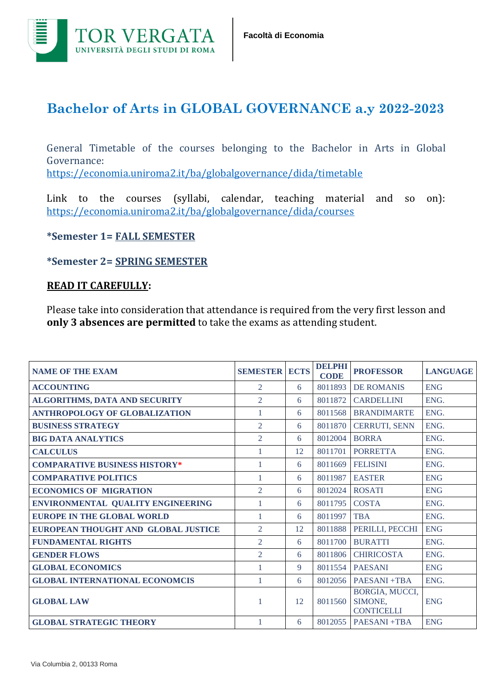

## **Bachelor of Arts in GLOBAL GOVERNANCE a.y 2022-2023**

General Timetable of the courses belonging to the Bachelor in Arts in Global Governance: <https://economia.uniroma2.it/ba/globalgovernance/dida/timetable>

Link to the courses (syllabi, calendar, teaching material and so on): <https://economia.uniroma2.it/ba/globalgovernance/dida/courses>

## **\*Semester 1= FALL SEMESTER**

## **\*Semester 2= SPRING SEMESTER**

## **READ IT CAREFULLY:**

Please take into consideration that attendance is required from the very first lesson and **only 3 absences are permitted** to take the exams as attending student.

| <b>NAME OF THE EXAM</b>               | <b>SEMESTER</b> | <b>ECTS</b> | <b>DELPHI</b><br><b>CODE</b> | <b>PROFESSOR</b>                               | <b>LANGUAGE</b> |
|---------------------------------------|-----------------|-------------|------------------------------|------------------------------------------------|-----------------|
| <b>ACCOUNTING</b>                     | 2               | 6           | 8011893                      | <b>DE ROMANIS</b>                              | <b>ENG</b>      |
| ALGORITHMS, DATA AND SECURITY         | $\overline{2}$  | 6           | 8011872                      | <b>CARDELLINI</b>                              | ENG.            |
| <b>ANTHROPOLOGY OF GLOBALIZATION</b>  | 1               | 6           | 8011568                      | <b>BRANDIMARTE</b>                             | ENG.            |
| <b>BUSINESS STRATEGY</b>              | $\overline{2}$  | 6           | 8011870                      | <b>CERRUTI, SENN</b>                           | ENG.            |
| <b>BIG DATA ANALYTICS</b>             | $\overline{2}$  | 6           | 8012004                      | <b>BORRA</b>                                   | ENG.            |
| <b>CALCULUS</b>                       |                 | 12          | 8011701                      | <b>PORRETTA</b>                                | ENG.            |
| <b>COMPARATIVE BUSINESS HISTORY*</b>  | 1               | 6           | 8011669                      | <b>FELISINI</b>                                | ENG.            |
| <b>COMPARATIVE POLITICS</b>           | 1               | 6           | 8011987                      | <b>EASTER</b>                                  | <b>ENG</b>      |
| <b>ECONOMICS OF MIGRATION</b>         | $\overline{2}$  | 6           | 8012024                      | <b>ROSATI</b>                                  | <b>ENG</b>      |
| ENVIRONMENTAL QUALITY ENGINEERING     | 1               | 6           | 8011795                      | <b>COSTA</b>                                   | ENG.            |
| <b>EUROPE IN THE GLOBAL WORLD</b>     |                 | 6           | 8011997                      | <b>TBA</b>                                     | ENG.            |
| EUROPEAN THOUGHT AND GLOBAL JUSTICE   | $\overline{2}$  | 12          | 8011888                      | PERILLI, PECCHI                                | <b>ENG</b>      |
| <b>FUNDAMENTAL RIGHTS</b>             | $\overline{2}$  | 6           | 8011700                      | <b>BURATTI</b>                                 | ENG.            |
| <b>GENDER FLOWS</b>                   | 2               | 6           | 8011806                      | <b>CHIRICOSTA</b>                              | ENG.            |
| <b>GLOBAL ECONOMICS</b>               | 1               | 9           | 8011554                      | <b>PAESANI</b>                                 | <b>ENG</b>      |
| <b>GLOBAL INTERNATIONAL ECONOMCIS</b> | $\mathbf{1}$    | 6           | 8012056                      | <b>PAESANI+TBA</b>                             | ENG.            |
| <b>GLOBAL LAW</b>                     | 1               | 12          | 8011560                      | BORGIA, MUCCI,<br>SIMONE,<br><b>CONTICELLI</b> | <b>ENG</b>      |
| <b>GLOBAL STRATEGIC THEORY</b>        |                 | 6           | 8012055                      | <b>PAESANI +TBA</b>                            | <b>ENG</b>      |